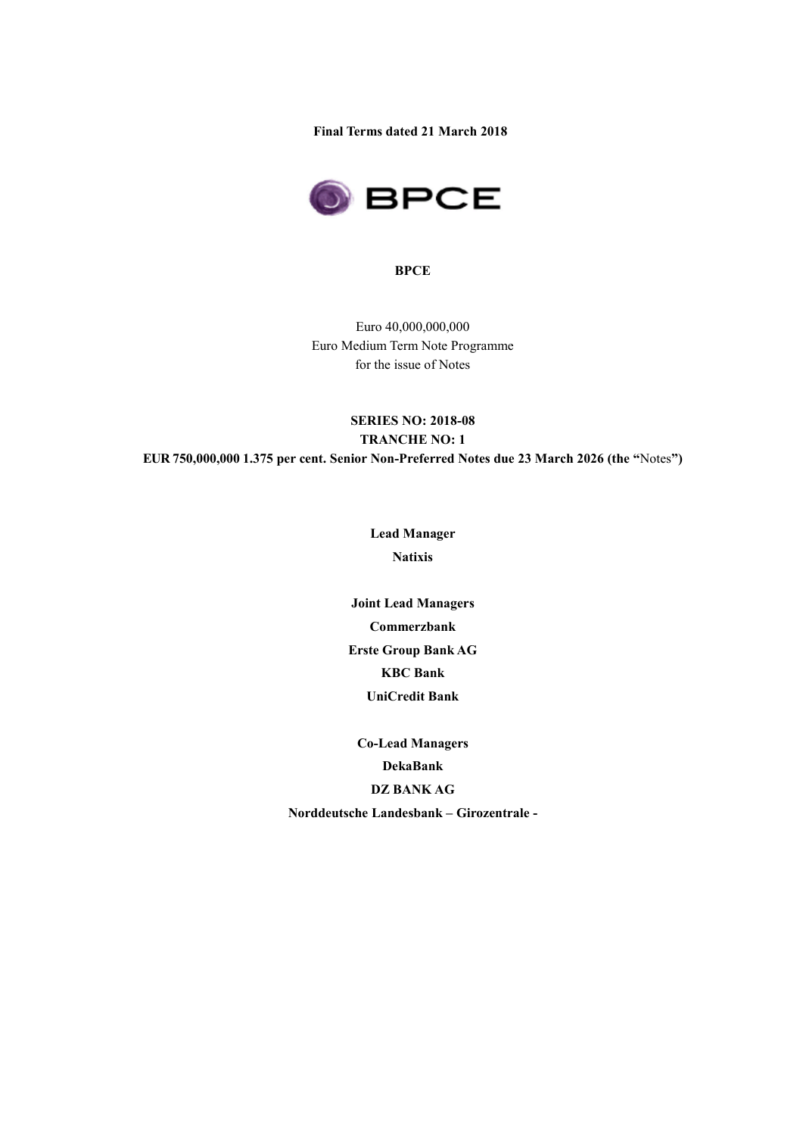**Final Terms dated 21 March 2018**



### **BPCE**

Euro 40,000,000,000 Euro Medium Term Note Programme for the issue of Notes

## **SERIES NO: 2018-08 TRANCHE NO: 1 EUR 750,000,000 1.375 per cent. Senior Non-Preferred Notes due 23 March 2026 (the "**Notes**")**

**Lead Manager Natixis**

**Joint Lead Managers Commerzbank Erste Group Bank AG KBC Bank UniCredit Bank**

**Co-Lead Managers DekaBank DZ BANK AG Norddeutsche Landesbank – Girozentrale -**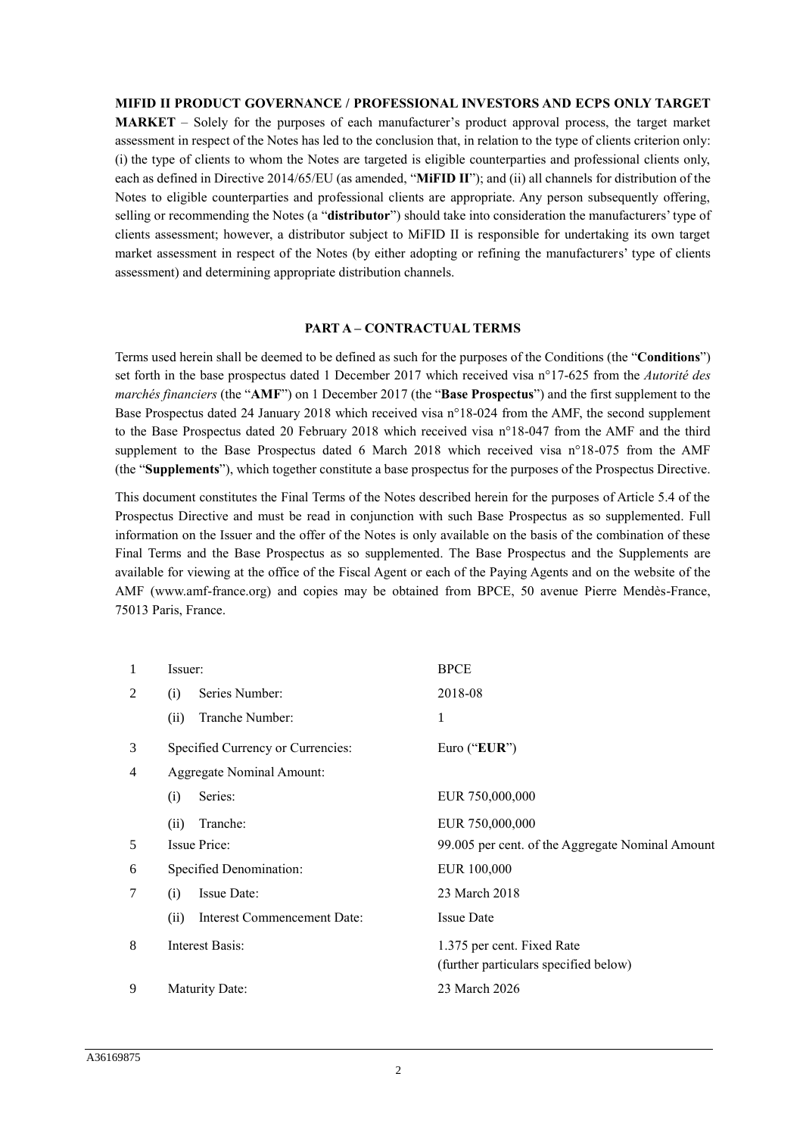### **MIFID II PRODUCT GOVERNANCE / PROFESSIONAL INVESTORS AND ECPS ONLY TARGET**

**MARKET** – Solely for the purposes of each manufacturer's product approval process, the target market assessment in respect of the Notes has led to the conclusion that, in relation to the type of clients criterion only: (i) the type of clients to whom the Notes are targeted is eligible counterparties and professional clients only, each as defined in Directive 2014/65/EU (as amended, "**MiFID II**"); and (ii) all channels for distribution of the Notes to eligible counterparties and professional clients are appropriate. Any person subsequently offering, selling or recommending the Notes (a "**distributor**") should take into consideration the manufacturers' type of clients assessment; however, a distributor subject to MiFID II is responsible for undertaking its own target market assessment in respect of the Notes (by either adopting or refining the manufacturers' type of clients assessment) and determining appropriate distribution channels.

### **PART A – CONTRACTUAL TERMS**

Terms used herein shall be deemed to be defined as such for the purposes of the Conditions (the "**Conditions**") set forth in the base prospectus dated 1 December 2017 which received visa n°17-625 from the *Autorité des marchés financiers* (the "**AMF**") on 1 December 2017 (the "**Base Prospectus**") and the first supplement to the Base Prospectus dated 24 January 2018 which received visa n°18-024 from the AMF, the second supplement to the Base Prospectus dated 20 February 2018 which received visa n°18-047 from the AMF and the third supplement to the Base Prospectus dated 6 March 2018 which received visa n°18-075 from the AMF (the "**Supplements**"), which together constitute a base prospectus for the purposes of the Prospectus Directive.

This document constitutes the Final Terms of the Notes described herein for the purposes of Article 5.4 of the Prospectus Directive and must be read in conjunction with such Base Prospectus as so supplemented. Full information on the Issuer and the offer of the Notes is only available on the basis of the combination of these Final Terms and the Base Prospectus as so supplemented. The Base Prospectus and the Supplements are available for viewing at the office of the Fiscal Agent or each of the Paying Agents and on the website of the AMF (www.amf-france.org) and copies may be obtained from BPCE, 50 avenue Pierre Mendès-France, 75013 Paris, France.

| 1              | Issuer:                             | <b>BPCE</b>                                      |
|----------------|-------------------------------------|--------------------------------------------------|
| 2              | Series Number:<br>(i)               | 2018-08                                          |
|                | Tranche Number:<br>(ii)             | 1                                                |
| 3              | Specified Currency or Currencies:   | Euro ("EUR")                                     |
| $\overline{4}$ | Aggregate Nominal Amount:           |                                                  |
|                | Series:<br>(i)                      | EUR 750,000,000                                  |
|                | Tranche:<br>(ii)                    | EUR 750,000,000                                  |
| 5              | Issue Price:                        | 99.005 per cent. of the Aggregate Nominal Amount |
| 6              | Specified Denomination:             | EUR 100,000                                      |
| 7              | Issue Date:<br>(i)                  | 23 March 2018                                    |
|                | (ii)<br>Interest Commencement Date: | <b>Issue Date</b>                                |
| 8              | <b>Interest Basis:</b>              | 1.375 per cent. Fixed Rate                       |
|                |                                     | (further particulars specified below)            |
| 9              | <b>Maturity Date:</b>               | 23 March 2026                                    |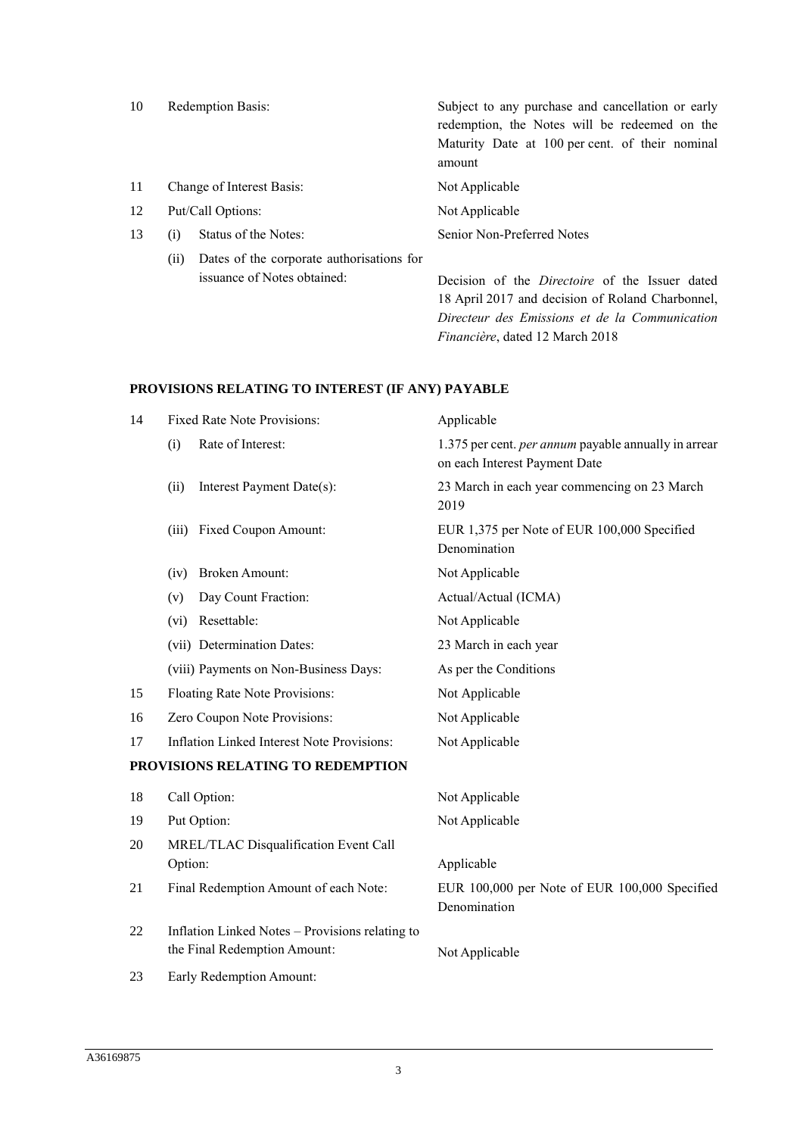| 10 |      | Redemption Basis:                                                        | Subject to any purchase and cancellation or early<br>redemption, the Notes will be redeemed on the<br>Maturity Date at 100 per cent. of their nominal<br>amount |
|----|------|--------------------------------------------------------------------------|-----------------------------------------------------------------------------------------------------------------------------------------------------------------|
| 11 |      | Change of Interest Basis:                                                | Not Applicable                                                                                                                                                  |
| 12 |      | Put/Call Options:                                                        | Not Applicable                                                                                                                                                  |
| 13 | (i)  | Status of the Notes:                                                     | Senior Non-Preferred Notes                                                                                                                                      |
|    | (ii) | Dates of the corporate authorisations for<br>issuance of Notes obtained: | Decision of the <i>Directoire</i> of the Issuer dated<br>18 April 2017 and decision of Roland Charbonnel,<br>Directeur des Emissions et de la Communication     |

*Financière*, dated 12 March 2018

# **PROVISIONS RELATING TO INTEREST (IF ANY) PAYABLE**

| 14 | <b>Fixed Rate Note Provisions:</b>                                              | Applicable                                                                            |
|----|---------------------------------------------------------------------------------|---------------------------------------------------------------------------------------|
|    | Rate of Interest:<br>(i)                                                        | 1.375 per cent. per annum payable annually in arrear<br>on each Interest Payment Date |
|    | Interest Payment Date(s):<br>(ii)                                               | 23 March in each year commencing on 23 March<br>2019                                  |
|    | <b>Fixed Coupon Amount:</b><br>(iii)                                            | EUR 1,375 per Note of EUR 100,000 Specified<br>Denomination                           |
|    | <b>Broken Amount:</b><br>(iv)                                                   | Not Applicable                                                                        |
|    | Day Count Fraction:<br>(v)                                                      | Actual/Actual (ICMA)                                                                  |
|    | Resettable:<br>(vi)                                                             | Not Applicable                                                                        |
|    | (vii) Determination Dates:                                                      | 23 March in each year                                                                 |
|    | (viii) Payments on Non-Business Days:                                           | As per the Conditions                                                                 |
| 15 | Floating Rate Note Provisions:                                                  | Not Applicable                                                                        |
| 16 | Zero Coupon Note Provisions:                                                    | Not Applicable                                                                        |
| 17 | Inflation Linked Interest Note Provisions:                                      | Not Applicable                                                                        |
|    | PROVISIONS RELATING TO REDEMPTION                                               |                                                                                       |
| 18 | Call Option:                                                                    | Not Applicable                                                                        |
| 19 | Put Option:                                                                     | Not Applicable                                                                        |
| 20 | MREL/TLAC Disqualification Event Call<br>Option:                                | Applicable                                                                            |
| 21 | Final Redemption Amount of each Note:                                           | EUR 100,000 per Note of EUR 100,000 Specified<br>Denomination                         |
| 22 | Inflation Linked Notes - Provisions relating to<br>the Final Redemption Amount: | Not Applicable                                                                        |
| 23 | Early Redemption Amount:                                                        |                                                                                       |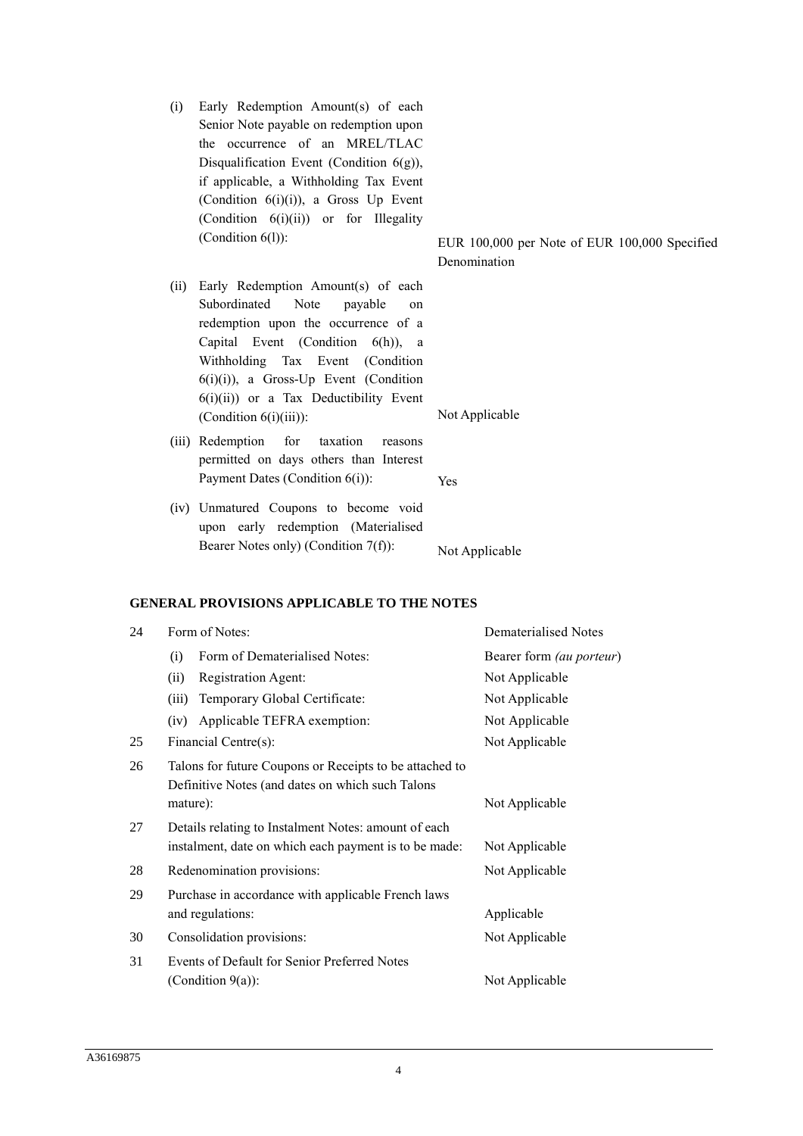- (i) Early Redemption Amount(s) of each Senior Note payable on redemption upon the occurrence of an MREL/TLAC Disqualification Event (Condition  $6(g)$ ), if applicable, a Withholding Tax Event (Condition 6(i)(i)), a Gross Up Event (Condition 6(i)(ii)) or for Illegality
- (ii) Early Redemption Amount(s) of each Subordinated Note payable on redemption upon the occurrence of a Capital Event (Condition 6(h)), a Withholding Tax Event (Condition 6(i)(i)), a Gross-Up Event (Condition  $6(i)(ii)$  or a Tax Deductibility Event (Condition 6(i)(iii)): Not Applicable
- (iii) Redemption for taxation reasons permitted on days others than Interest Payment Dates (Condition 6(i)): Yes
- (iv) Unmatured Coupons to become void upon early redemption (Materialised Bearer Notes only) (Condition  $7(f)$ ): Not Applicable

### **GENERAL PROVISIONS APPLICABLE TO THE NOTES**

| 24 | Form of Notes:                                                                                                                            | Dematerialised Notes     |  |  |  |
|----|-------------------------------------------------------------------------------------------------------------------------------------------|--------------------------|--|--|--|
|    | Form of Dematerialised Notes:<br>(i)                                                                                                      | Bearer form (au porteur) |  |  |  |
|    | (ii)<br>Registration Agent:                                                                                                               | Not Applicable           |  |  |  |
|    | Temporary Global Certificate:<br>(iii)                                                                                                    | Not Applicable           |  |  |  |
|    | Applicable TEFRA exemption:<br>(iv)                                                                                                       | Not Applicable           |  |  |  |
| 25 | Financial Centre(s):                                                                                                                      | Not Applicable           |  |  |  |
| 26 | Talons for future Coupons or Receipts to be attached to<br>Definitive Notes (and dates on which such Talons<br>mature):<br>Not Applicable |                          |  |  |  |
| 27 | Details relating to Instalment Notes: amount of each                                                                                      |                          |  |  |  |
|    | instalment, date on which each payment is to be made:                                                                                     | Not Applicable           |  |  |  |
| 28 | Redenomination provisions:                                                                                                                | Not Applicable           |  |  |  |
| 29 | Purchase in accordance with applicable French laws<br>and regulations:<br>Applicable                                                      |                          |  |  |  |
| 30 | Consolidation provisions:                                                                                                                 | Not Applicable           |  |  |  |
| 31 | Events of Default for Senior Preferred Notes<br>(Condition $9(a)$ ):                                                                      | Not Applicable           |  |  |  |

(Condition 6(l)): EUR 100,000 per Note of EUR 100,000 Specified Denomination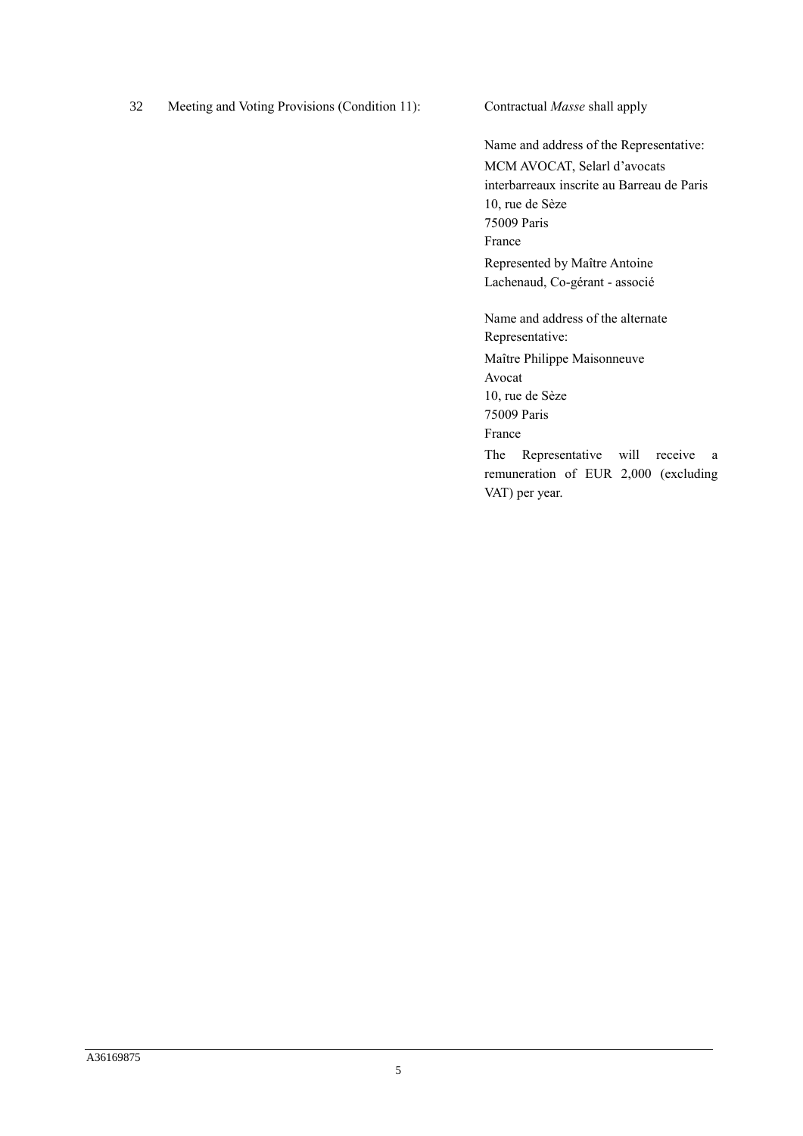32 Meeting and Voting Provisions (Condition 11): Contractual *Masse* shall apply

Name and address of the Representative: MCM AVOCAT, Selarl d'avocats interbarreaux inscrite au Barreau de Paris 10, rue de Sèze 75009 Paris France Represented by Maître Antoine Lachenaud, Co-gérant - associé

Name and address of the alternate Representative: Maître Philippe Maisonneuve Avocat 10, rue de Sèze 75009 Paris France The Representative will receive a remuneration of EUR 2,000 (excluding VAT) per year.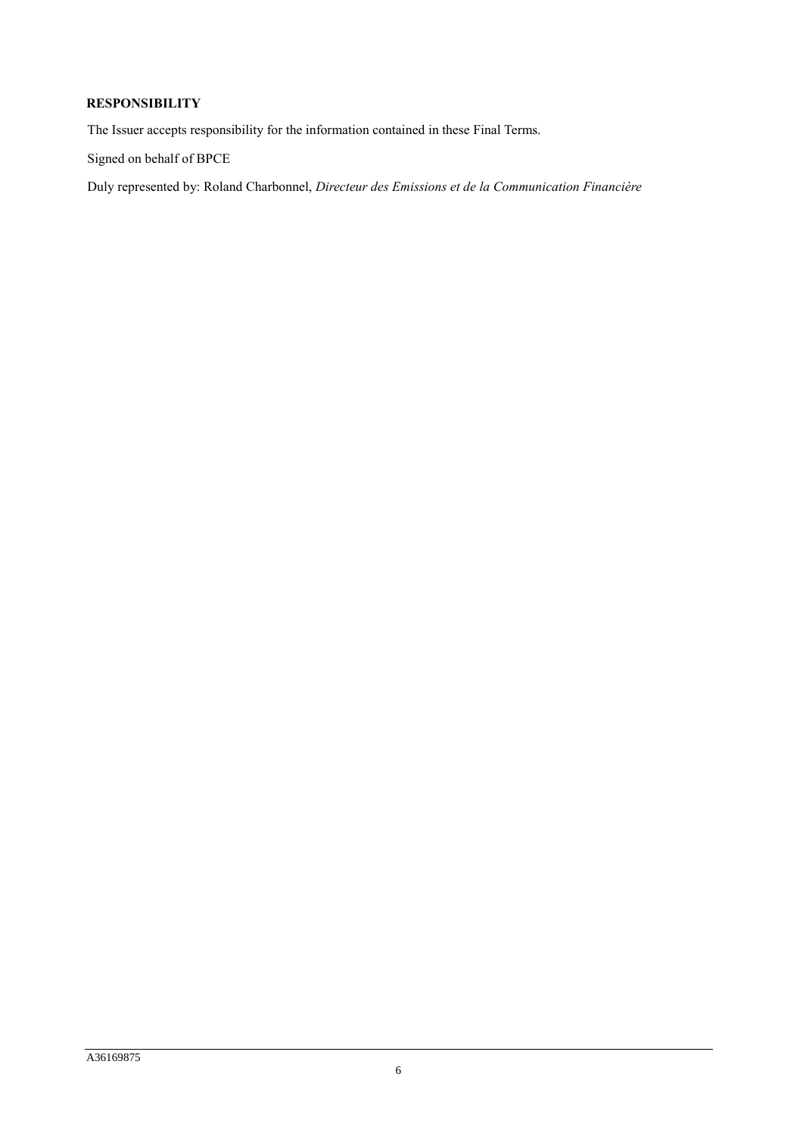## **RESPONSIBILITY**

The Issuer accepts responsibility for the information contained in these Final Terms.

Signed on behalf of BPCE

Duly represented by: Roland Charbonnel, *Directeur des Emissions et de la Communication Financière*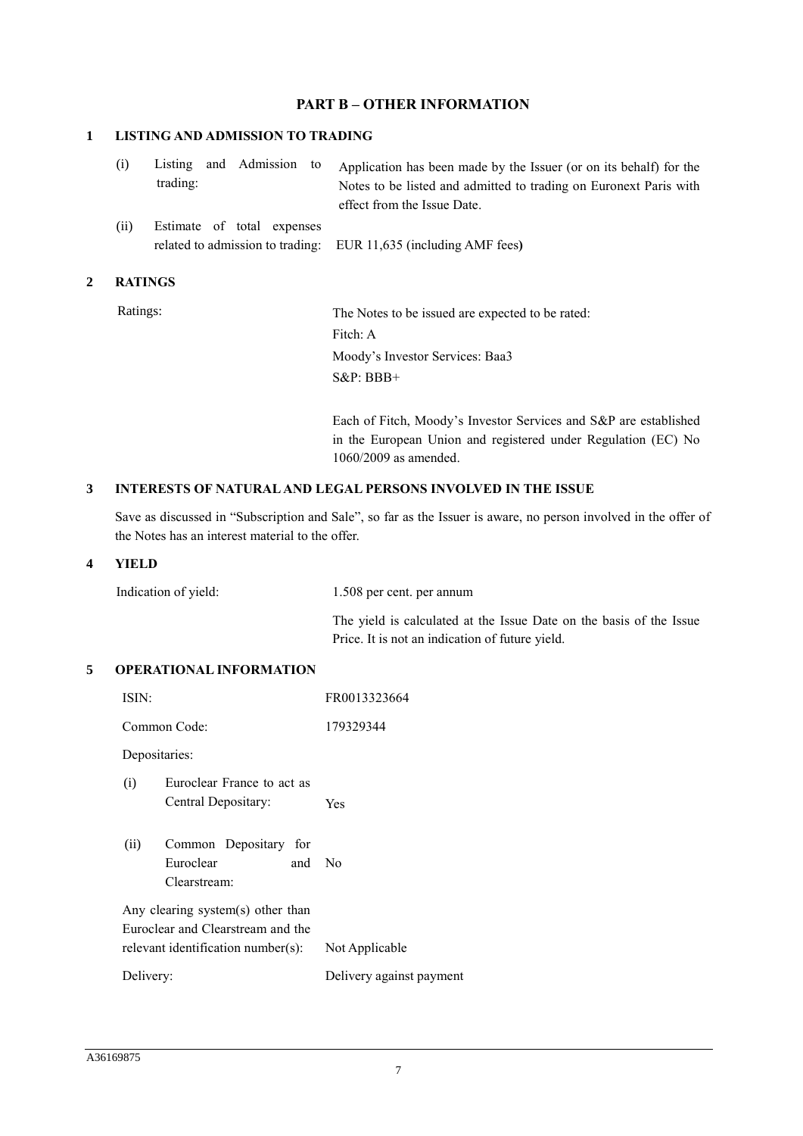## **PART B – OTHER INFORMATION**

#### **1 LISTING AND ADMISSION TO TRADING**

|  | trading: |  | (i) Listing and Admission to Application has been made by the Issuer (or on its behalf) for the<br>Notes to be listed and admitted to trading on Euronext Paris with<br>effect from the Issue Date. |
|--|----------|--|-----------------------------------------------------------------------------------------------------------------------------------------------------------------------------------------------------|
|  |          |  |                                                                                                                                                                                                     |

(ii) Estimate of total expenses related to admission to trading: EUR 11,635 (including AMF fees**)**

### **2 RATINGS**

Ratings: The Notes to be issued are expected to be rated: Fitch: A Moody's Investor Services: Baa3 S&P: BBB+

> Each of Fitch, Moody's Investor Services and S&P are established in the European Union and registered under Regulation (EC) No 1060/2009 as amended.

### **3 INTERESTS OF NATURAL AND LEGAL PERSONS INVOLVED IN THE ISSUE**

Save as discussed in "Subscription and Sale", so far as the Issuer is aware, no person involved in the offer of the Notes has an interest material to the offer.

#### **4 YIELD**

| Indication of yield: | 1.508 per cent. per annum                                           |
|----------------------|---------------------------------------------------------------------|
|                      | The yield is calculated at the Issue Date on the basis of the Issue |
|                      | Price. It is not an indication of future yield.                     |

### **5 OPERATIONAL INFORMATION**

| ISIN:         |                                                                                                              | FR0013323664             |
|---------------|--------------------------------------------------------------------------------------------------------------|--------------------------|
|               | Common Code:                                                                                                 | 179329344                |
| Depositaries: |                                                                                                              |                          |
| (i)           | Euroclear France to act as<br>Central Depositary:                                                            | Yes                      |
| (ii)          | Common Depositary for<br>Euroclear<br>and<br>Clearstream:                                                    | No                       |
|               | Any clearing system(s) other than<br>Euroclear and Clearstream and the<br>relevant identification number(s): | Not Applicable           |
| Delivery:     |                                                                                                              | Delivery against payment |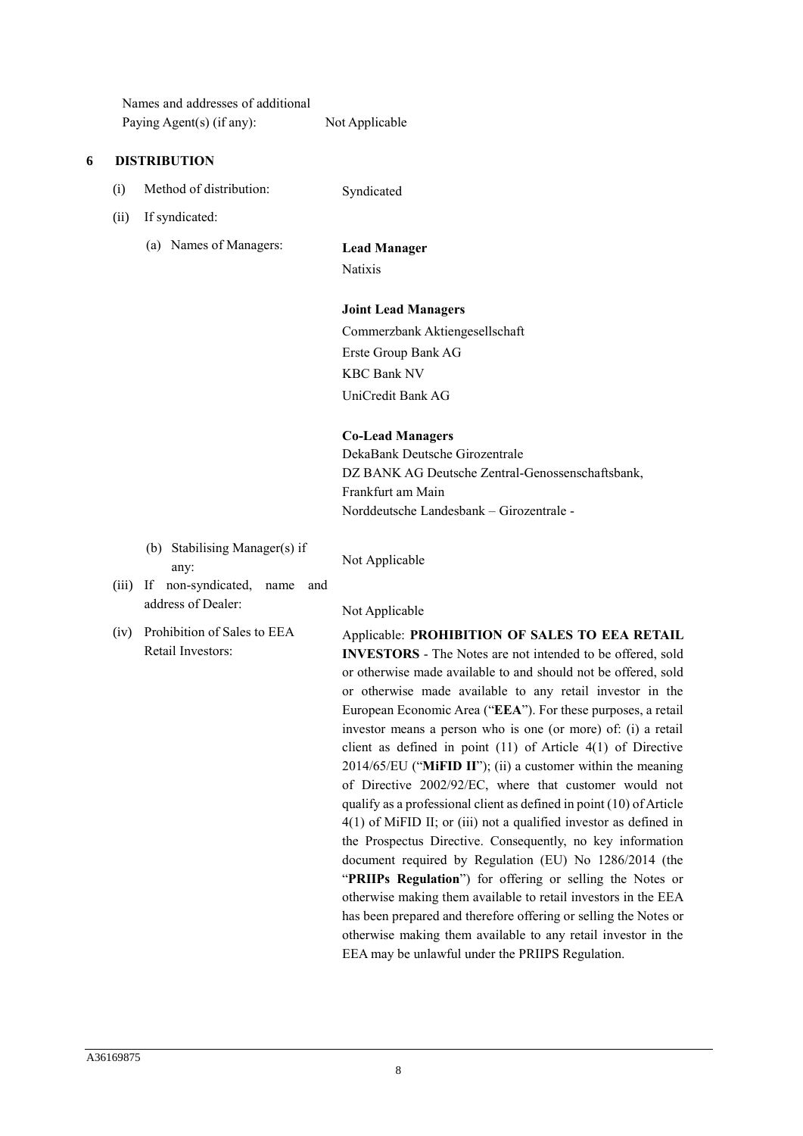|   |       | Names and addresses of additional<br>Paying Agent(s) (if any):             | Not Applicable                                                                                                                                                                                                                                                                                                                                                                                                                                                                                                                                                                                                                                                                                                                                                                                                                                                                                                                                                                         |  |  |  |
|---|-------|----------------------------------------------------------------------------|----------------------------------------------------------------------------------------------------------------------------------------------------------------------------------------------------------------------------------------------------------------------------------------------------------------------------------------------------------------------------------------------------------------------------------------------------------------------------------------------------------------------------------------------------------------------------------------------------------------------------------------------------------------------------------------------------------------------------------------------------------------------------------------------------------------------------------------------------------------------------------------------------------------------------------------------------------------------------------------|--|--|--|
| 6 |       | <b>DISTRIBUTION</b>                                                        |                                                                                                                                                                                                                                                                                                                                                                                                                                                                                                                                                                                                                                                                                                                                                                                                                                                                                                                                                                                        |  |  |  |
|   | (i)   | Method of distribution:                                                    | Syndicated                                                                                                                                                                                                                                                                                                                                                                                                                                                                                                                                                                                                                                                                                                                                                                                                                                                                                                                                                                             |  |  |  |
|   | (ii)  | If syndicated:                                                             |                                                                                                                                                                                                                                                                                                                                                                                                                                                                                                                                                                                                                                                                                                                                                                                                                                                                                                                                                                                        |  |  |  |
|   |       | (a) Names of Managers:                                                     | <b>Lead Manager</b><br><b>Natixis</b>                                                                                                                                                                                                                                                                                                                                                                                                                                                                                                                                                                                                                                                                                                                                                                                                                                                                                                                                                  |  |  |  |
|   |       |                                                                            | <b>Joint Lead Managers</b>                                                                                                                                                                                                                                                                                                                                                                                                                                                                                                                                                                                                                                                                                                                                                                                                                                                                                                                                                             |  |  |  |
|   |       |                                                                            | Commerzbank Aktiengesellschaft                                                                                                                                                                                                                                                                                                                                                                                                                                                                                                                                                                                                                                                                                                                                                                                                                                                                                                                                                         |  |  |  |
|   |       |                                                                            | Erste Group Bank AG                                                                                                                                                                                                                                                                                                                                                                                                                                                                                                                                                                                                                                                                                                                                                                                                                                                                                                                                                                    |  |  |  |
|   |       |                                                                            | <b>KBC Bank NV</b>                                                                                                                                                                                                                                                                                                                                                                                                                                                                                                                                                                                                                                                                                                                                                                                                                                                                                                                                                                     |  |  |  |
|   |       |                                                                            | UniCredit Bank AG                                                                                                                                                                                                                                                                                                                                                                                                                                                                                                                                                                                                                                                                                                                                                                                                                                                                                                                                                                      |  |  |  |
|   |       |                                                                            | <b>Co-Lead Managers</b><br>DekaBank Deutsche Girozentrale<br>DZ BANK AG Deutsche Zentral-Genossenschaftsbank,<br>Frankfurt am Main<br>Norddeutsche Landesbank - Girozentrale -                                                                                                                                                                                                                                                                                                                                                                                                                                                                                                                                                                                                                                                                                                                                                                                                         |  |  |  |
|   | (iii) | (b) Stabilising Manager(s) if<br>any:<br>If non-syndicated,<br>name<br>and | Not Applicable                                                                                                                                                                                                                                                                                                                                                                                                                                                                                                                                                                                                                                                                                                                                                                                                                                                                                                                                                                         |  |  |  |
|   |       | address of Dealer:                                                         | Not Applicable                                                                                                                                                                                                                                                                                                                                                                                                                                                                                                                                                                                                                                                                                                                                                                                                                                                                                                                                                                         |  |  |  |
|   | (iv)  | Prohibition of Sales to EEA<br>Retail Investors:                           | Applicable: PROHIBITION OF SALES TO EEA RETAIL<br><b>INVESTORS</b> - The Notes are not intended to be offered, sold<br>or otherwise made available to and should not be offered, sold<br>or otherwise made available to any retail investor in the<br>European Economic Area ("EEA"). For these purposes, a retail<br>investor means a person who is one (or more) of: (i) a retail<br>client as defined in point $(11)$ of Article $4(1)$ of Directive<br>2014/65/EU ("MiFID II"); (ii) a customer within the meaning<br>of Directive 2002/92/EC, where that customer would not<br>qualify as a professional client as defined in point (10) of Article<br>$4(1)$ of MiFID II; or (iii) not a qualified investor as defined in<br>the Prospectus Directive. Consequently, no key information<br>document required by Regulation (EU) No 1286/2014 (the<br>"PRIIPs Regulation") for offering or selling the Notes or<br>otherwise making them available to retail investors in the EEA |  |  |  |

has been prepared and therefore offering or selling the Notes or otherwise making them available to any retail investor in the

EEA may be unlawful under the PRIIPS Regulation.